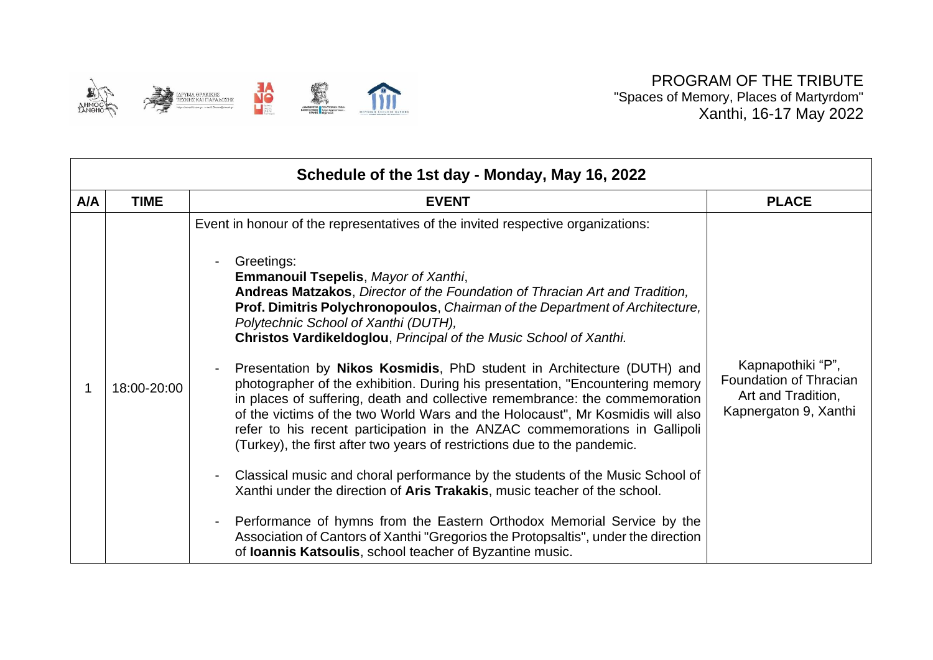

| Schedule of the 1st day - Monday, May 16, 2022 |             |                                                                                                                                                                                                                                                                                                                                                                                                                                                                                                                                                                                                                                                                                                                                                                                                                                                                                                                                                                                                                                                                                                                                                                                                                                                                                                                                                                                                                |                                                                                            |  |  |
|------------------------------------------------|-------------|----------------------------------------------------------------------------------------------------------------------------------------------------------------------------------------------------------------------------------------------------------------------------------------------------------------------------------------------------------------------------------------------------------------------------------------------------------------------------------------------------------------------------------------------------------------------------------------------------------------------------------------------------------------------------------------------------------------------------------------------------------------------------------------------------------------------------------------------------------------------------------------------------------------------------------------------------------------------------------------------------------------------------------------------------------------------------------------------------------------------------------------------------------------------------------------------------------------------------------------------------------------------------------------------------------------------------------------------------------------------------------------------------------------|--------------------------------------------------------------------------------------------|--|--|
| A/A                                            | <b>TIME</b> | <b>EVENT</b>                                                                                                                                                                                                                                                                                                                                                                                                                                                                                                                                                                                                                                                                                                                                                                                                                                                                                                                                                                                                                                                                                                                                                                                                                                                                                                                                                                                                   | <b>PLACE</b>                                                                               |  |  |
|                                                | 18:00-20:00 | Event in honour of the representatives of the invited respective organizations:<br>Greetings:<br>$\blacksquare$<br><b>Emmanouil Tsepelis, Mayor of Xanthi,</b><br>Andreas Matzakos, Director of the Foundation of Thracian Art and Tradition,<br>Prof. Dimitris Polychronopoulos, Chairman of the Department of Architecture,<br>Polytechnic School of Xanthi (DUTH),<br>Christos Vardikeldoglou, Principal of the Music School of Xanthi.<br>Presentation by Nikos Kosmidis, PhD student in Architecture (DUTH) and<br>$\overline{\phantom{0}}$<br>photographer of the exhibition. During his presentation, "Encountering memory<br>in places of suffering, death and collective remembrance: the commemoration<br>of the victims of the two World Wars and the Holocaust", Mr Kosmidis will also<br>refer to his recent participation in the ANZAC commemorations in Gallipoli<br>(Turkey), the first after two years of restrictions due to the pandemic.<br>Classical music and choral performance by the students of the Music School of<br>$\overline{\phantom{a}}$<br>Xanthi under the direction of Aris Trakakis, music teacher of the school.<br>Performance of hymns from the Eastern Orthodox Memorial Service by the<br>$\overline{\phantom{a}}$<br>Association of Cantors of Xanthi "Gregorios the Protopsaltis", under the direction<br>of Ioannis Katsoulis, school teacher of Byzantine music. | Kapnapothiki "P",<br>Foundation of Thracian<br>Art and Tradition,<br>Kapnergaton 9, Xanthi |  |  |